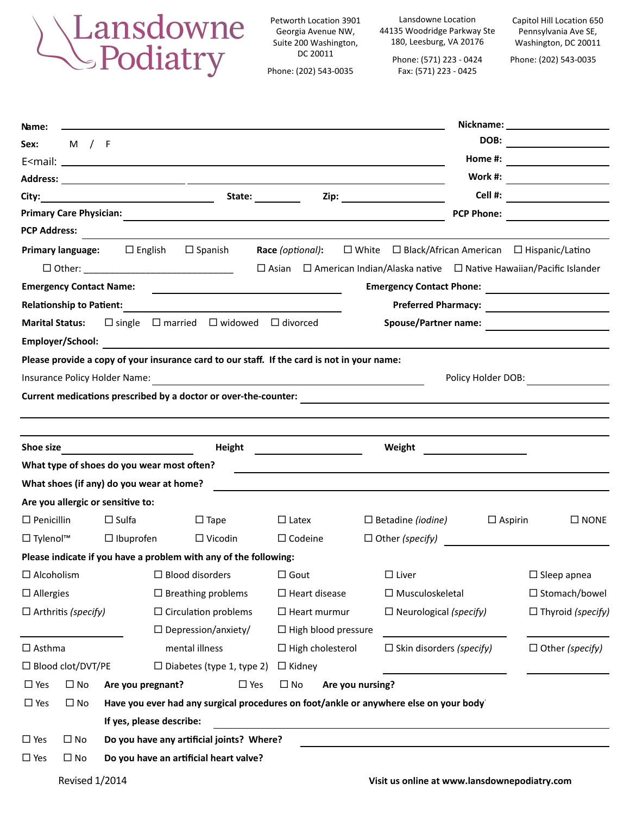

Petworth Location 3901 Georgia Avenue NW, Suite 200 Washington, DC 20011

Phone: (202) 543-0035

Lansdowne Location 44135 Woodridge Parkway Ste 180, Leesburg, VA 20176

> Phone: (571) 223 - 0424 Fax: (571) 223 - 0425

Capitol Hill Location 650 Pennsylvania Ave SE, Washington, DC 20011

Phone: (202) 543-0035

| DOB:<br>M / F<br>Sex:<br>Home #: $\qquad \qquad \qquad$<br><b>PCP Phone:</b><br><b>PCP Address:</b><br><b>Primary language:</b> $\Box$ English $\Box$ Spanish<br>Race (optional):<br>$\Box$ White $\Box$ Black/African American $\Box$ Hispanic/Latino<br>$\Box$ Asian $\Box$ American Indian/Alaska native $\Box$ Native Hawaiian/Pacific Islander<br>□ Other: ___________________________________<br>Emergency Contact Phone:<br><b>Emergency Contact Name:</b><br>the control of the control of the control of the control of the control of the control of<br><b>Preferred Pharmacy:</b><br><b>Relationship to Patient:</b><br><b>Spouse/Partner name:</b><br>$\Box$ single $\Box$ married $\Box$ widowed $\Box$ divorced<br><b>Marital Status:</b><br>Employer/School:<br><u> 1980 - Johann Barbara, martxa alemaniar arg</u><br>Please provide a copy of your insurance card to our staff. If the card is not in your name:<br>Insurance Policy Holder Name:<br>Policy Holder DOB:<br><u> 1989 - Johann Harry Barn, mars ar breist fan de Amerikaansk kommunent fan de Amerikaanske kommunent fan de A</u><br>Current medications prescribed by a doctor or over-the-counter: <b>Example 2018</b><br>Shoe size<br>Height<br>Weight<br>What type of shoes do you wear most often?<br>and the control of the control of the control of the control of the control of the control of the control of the<br>What shoes (if any) do you wear at home?<br>Are you allergic or sensitive to:<br>$\Box$ Penicillin<br>$\Box$ Sulfa<br>$\Box$ Tape<br>$\Box$ Latex<br>$\Box$ Betadine (iodine)<br>$\Box$ Aspirin<br>$\square$ NONE<br>$\Box$ Tylenol <sup>TM</sup><br>$\Box$ Ibuprofen<br>$\Box$ Vicodin<br>$\Box$ Codeine<br>$\Box$ Other (specify)<br>Please indicate if you have a problem with any of the following:<br>$\Box$ Alcoholism<br>$\Box$ Blood disorders<br>$\Box$ Gout<br>$\Box$ Liver<br>$\Box$ Sleep apnea<br>$\Box$ Breathing problems<br>$\square$ Musculoskeletal<br>□ Stomach/bowel<br>$\Box$ Allergies<br>$\Box$ Heart disease<br>$\Box$ Heart murmur<br>$\Box$ Neurological (specify)<br>$\Box$ Arthritis (specify)<br>$\Box$ Circulation problems<br>$\Box$ Depression/anxiety/<br>$\Box$ High blood pressure<br>mental illness<br>$\Box$ Skin disorders (specify)<br>$\Box$ Other (specify)<br>$\Box$ Asthma<br>$\Box$ High cholesterol<br>□ Blood clot/DVT/PE<br>$\Box$ Diabetes (type 1, type 2)<br>$\Box$ Kidney<br>$\Box$ Yes<br>$\Box$ No<br>$\square$ Yes<br>$\square$ No<br>Are you nursing?<br>Are you pregnant?<br>Have you ever had any surgical procedures on foot/ankle or anywhere else on your body<br>$\Box$ Yes<br>$\Box$ No<br>If yes, please describe:<br>Do you have any artificial joints? Where?<br>$\Box$ Yes<br>$\square$ No<br>$\square$ Yes<br>$\Box$ No<br>Do you have an artificial heart valve?<br><b>Revised 1/2014</b><br>Visit us online at www.lansdownepodiatry.com | Name: |  |  |  |  |  |  |
|-----------------------------------------------------------------------------------------------------------------------------------------------------------------------------------------------------------------------------------------------------------------------------------------------------------------------------------------------------------------------------------------------------------------------------------------------------------------------------------------------------------------------------------------------------------------------------------------------------------------------------------------------------------------------------------------------------------------------------------------------------------------------------------------------------------------------------------------------------------------------------------------------------------------------------------------------------------------------------------------------------------------------------------------------------------------------------------------------------------------------------------------------------------------------------------------------------------------------------------------------------------------------------------------------------------------------------------------------------------------------------------------------------------------------------------------------------------------------------------------------------------------------------------------------------------------------------------------------------------------------------------------------------------------------------------------------------------------------------------------------------------------------------------------------------------------------------------------------------------------------------------------------------------------------------------------------------------------------------------------------------------------------------------------------------------------------------------------------------------------------------------------------------------------------------------------------------------------------------------------------------------------------------------------------------------------------------------------------------------------------------------------------------------------------------------------------------------------------------------------------------------------------------------------------------------------------------------------------------------------------------------------------------------------------------------------------------------------------------------------------------------------------------------------------------------------------------------------------------------------------------------------------------------------------------|-------|--|--|--|--|--|--|
|                                                                                                                                                                                                                                                                                                                                                                                                                                                                                                                                                                                                                                                                                                                                                                                                                                                                                                                                                                                                                                                                                                                                                                                                                                                                                                                                                                                                                                                                                                                                                                                                                                                                                                                                                                                                                                                                                                                                                                                                                                                                                                                                                                                                                                                                                                                                                                                                                                                                                                                                                                                                                                                                                                                                                                                                                                                                                                                             |       |  |  |  |  |  |  |
|                                                                                                                                                                                                                                                                                                                                                                                                                                                                                                                                                                                                                                                                                                                                                                                                                                                                                                                                                                                                                                                                                                                                                                                                                                                                                                                                                                                                                                                                                                                                                                                                                                                                                                                                                                                                                                                                                                                                                                                                                                                                                                                                                                                                                                                                                                                                                                                                                                                                                                                                                                                                                                                                                                                                                                                                                                                                                                                             |       |  |  |  |  |  |  |
| Cell #: _____________________<br>$\Box$ Thyroid (specify)                                                                                                                                                                                                                                                                                                                                                                                                                                                                                                                                                                                                                                                                                                                                                                                                                                                                                                                                                                                                                                                                                                                                                                                                                                                                                                                                                                                                                                                                                                                                                                                                                                                                                                                                                                                                                                                                                                                                                                                                                                                                                                                                                                                                                                                                                                                                                                                                                                                                                                                                                                                                                                                                                                                                                                                                                                                                   |       |  |  |  |  |  |  |
|                                                                                                                                                                                                                                                                                                                                                                                                                                                                                                                                                                                                                                                                                                                                                                                                                                                                                                                                                                                                                                                                                                                                                                                                                                                                                                                                                                                                                                                                                                                                                                                                                                                                                                                                                                                                                                                                                                                                                                                                                                                                                                                                                                                                                                                                                                                                                                                                                                                                                                                                                                                                                                                                                                                                                                                                                                                                                                                             |       |  |  |  |  |  |  |
|                                                                                                                                                                                                                                                                                                                                                                                                                                                                                                                                                                                                                                                                                                                                                                                                                                                                                                                                                                                                                                                                                                                                                                                                                                                                                                                                                                                                                                                                                                                                                                                                                                                                                                                                                                                                                                                                                                                                                                                                                                                                                                                                                                                                                                                                                                                                                                                                                                                                                                                                                                                                                                                                                                                                                                                                                                                                                                                             |       |  |  |  |  |  |  |
|                                                                                                                                                                                                                                                                                                                                                                                                                                                                                                                                                                                                                                                                                                                                                                                                                                                                                                                                                                                                                                                                                                                                                                                                                                                                                                                                                                                                                                                                                                                                                                                                                                                                                                                                                                                                                                                                                                                                                                                                                                                                                                                                                                                                                                                                                                                                                                                                                                                                                                                                                                                                                                                                                                                                                                                                                                                                                                                             |       |  |  |  |  |  |  |
|                                                                                                                                                                                                                                                                                                                                                                                                                                                                                                                                                                                                                                                                                                                                                                                                                                                                                                                                                                                                                                                                                                                                                                                                                                                                                                                                                                                                                                                                                                                                                                                                                                                                                                                                                                                                                                                                                                                                                                                                                                                                                                                                                                                                                                                                                                                                                                                                                                                                                                                                                                                                                                                                                                                                                                                                                                                                                                                             |       |  |  |  |  |  |  |
|                                                                                                                                                                                                                                                                                                                                                                                                                                                                                                                                                                                                                                                                                                                                                                                                                                                                                                                                                                                                                                                                                                                                                                                                                                                                                                                                                                                                                                                                                                                                                                                                                                                                                                                                                                                                                                                                                                                                                                                                                                                                                                                                                                                                                                                                                                                                                                                                                                                                                                                                                                                                                                                                                                                                                                                                                                                                                                                             |       |  |  |  |  |  |  |
|                                                                                                                                                                                                                                                                                                                                                                                                                                                                                                                                                                                                                                                                                                                                                                                                                                                                                                                                                                                                                                                                                                                                                                                                                                                                                                                                                                                                                                                                                                                                                                                                                                                                                                                                                                                                                                                                                                                                                                                                                                                                                                                                                                                                                                                                                                                                                                                                                                                                                                                                                                                                                                                                                                                                                                                                                                                                                                                             |       |  |  |  |  |  |  |
|                                                                                                                                                                                                                                                                                                                                                                                                                                                                                                                                                                                                                                                                                                                                                                                                                                                                                                                                                                                                                                                                                                                                                                                                                                                                                                                                                                                                                                                                                                                                                                                                                                                                                                                                                                                                                                                                                                                                                                                                                                                                                                                                                                                                                                                                                                                                                                                                                                                                                                                                                                                                                                                                                                                                                                                                                                                                                                                             |       |  |  |  |  |  |  |
|                                                                                                                                                                                                                                                                                                                                                                                                                                                                                                                                                                                                                                                                                                                                                                                                                                                                                                                                                                                                                                                                                                                                                                                                                                                                                                                                                                                                                                                                                                                                                                                                                                                                                                                                                                                                                                                                                                                                                                                                                                                                                                                                                                                                                                                                                                                                                                                                                                                                                                                                                                                                                                                                                                                                                                                                                                                                                                                             |       |  |  |  |  |  |  |
|                                                                                                                                                                                                                                                                                                                                                                                                                                                                                                                                                                                                                                                                                                                                                                                                                                                                                                                                                                                                                                                                                                                                                                                                                                                                                                                                                                                                                                                                                                                                                                                                                                                                                                                                                                                                                                                                                                                                                                                                                                                                                                                                                                                                                                                                                                                                                                                                                                                                                                                                                                                                                                                                                                                                                                                                                                                                                                                             |       |  |  |  |  |  |  |
|                                                                                                                                                                                                                                                                                                                                                                                                                                                                                                                                                                                                                                                                                                                                                                                                                                                                                                                                                                                                                                                                                                                                                                                                                                                                                                                                                                                                                                                                                                                                                                                                                                                                                                                                                                                                                                                                                                                                                                                                                                                                                                                                                                                                                                                                                                                                                                                                                                                                                                                                                                                                                                                                                                                                                                                                                                                                                                                             |       |  |  |  |  |  |  |
|                                                                                                                                                                                                                                                                                                                                                                                                                                                                                                                                                                                                                                                                                                                                                                                                                                                                                                                                                                                                                                                                                                                                                                                                                                                                                                                                                                                                                                                                                                                                                                                                                                                                                                                                                                                                                                                                                                                                                                                                                                                                                                                                                                                                                                                                                                                                                                                                                                                                                                                                                                                                                                                                                                                                                                                                                                                                                                                             |       |  |  |  |  |  |  |
|                                                                                                                                                                                                                                                                                                                                                                                                                                                                                                                                                                                                                                                                                                                                                                                                                                                                                                                                                                                                                                                                                                                                                                                                                                                                                                                                                                                                                                                                                                                                                                                                                                                                                                                                                                                                                                                                                                                                                                                                                                                                                                                                                                                                                                                                                                                                                                                                                                                                                                                                                                                                                                                                                                                                                                                                                                                                                                                             |       |  |  |  |  |  |  |
|                                                                                                                                                                                                                                                                                                                                                                                                                                                                                                                                                                                                                                                                                                                                                                                                                                                                                                                                                                                                                                                                                                                                                                                                                                                                                                                                                                                                                                                                                                                                                                                                                                                                                                                                                                                                                                                                                                                                                                                                                                                                                                                                                                                                                                                                                                                                                                                                                                                                                                                                                                                                                                                                                                                                                                                                                                                                                                                             |       |  |  |  |  |  |  |
|                                                                                                                                                                                                                                                                                                                                                                                                                                                                                                                                                                                                                                                                                                                                                                                                                                                                                                                                                                                                                                                                                                                                                                                                                                                                                                                                                                                                                                                                                                                                                                                                                                                                                                                                                                                                                                                                                                                                                                                                                                                                                                                                                                                                                                                                                                                                                                                                                                                                                                                                                                                                                                                                                                                                                                                                                                                                                                                             |       |  |  |  |  |  |  |
|                                                                                                                                                                                                                                                                                                                                                                                                                                                                                                                                                                                                                                                                                                                                                                                                                                                                                                                                                                                                                                                                                                                                                                                                                                                                                                                                                                                                                                                                                                                                                                                                                                                                                                                                                                                                                                                                                                                                                                                                                                                                                                                                                                                                                                                                                                                                                                                                                                                                                                                                                                                                                                                                                                                                                                                                                                                                                                                             |       |  |  |  |  |  |  |
|                                                                                                                                                                                                                                                                                                                                                                                                                                                                                                                                                                                                                                                                                                                                                                                                                                                                                                                                                                                                                                                                                                                                                                                                                                                                                                                                                                                                                                                                                                                                                                                                                                                                                                                                                                                                                                                                                                                                                                                                                                                                                                                                                                                                                                                                                                                                                                                                                                                                                                                                                                                                                                                                                                                                                                                                                                                                                                                             |       |  |  |  |  |  |  |
|                                                                                                                                                                                                                                                                                                                                                                                                                                                                                                                                                                                                                                                                                                                                                                                                                                                                                                                                                                                                                                                                                                                                                                                                                                                                                                                                                                                                                                                                                                                                                                                                                                                                                                                                                                                                                                                                                                                                                                                                                                                                                                                                                                                                                                                                                                                                                                                                                                                                                                                                                                                                                                                                                                                                                                                                                                                                                                                             |       |  |  |  |  |  |  |
|                                                                                                                                                                                                                                                                                                                                                                                                                                                                                                                                                                                                                                                                                                                                                                                                                                                                                                                                                                                                                                                                                                                                                                                                                                                                                                                                                                                                                                                                                                                                                                                                                                                                                                                                                                                                                                                                                                                                                                                                                                                                                                                                                                                                                                                                                                                                                                                                                                                                                                                                                                                                                                                                                                                                                                                                                                                                                                                             |       |  |  |  |  |  |  |
|                                                                                                                                                                                                                                                                                                                                                                                                                                                                                                                                                                                                                                                                                                                                                                                                                                                                                                                                                                                                                                                                                                                                                                                                                                                                                                                                                                                                                                                                                                                                                                                                                                                                                                                                                                                                                                                                                                                                                                                                                                                                                                                                                                                                                                                                                                                                                                                                                                                                                                                                                                                                                                                                                                                                                                                                                                                                                                                             |       |  |  |  |  |  |  |
|                                                                                                                                                                                                                                                                                                                                                                                                                                                                                                                                                                                                                                                                                                                                                                                                                                                                                                                                                                                                                                                                                                                                                                                                                                                                                                                                                                                                                                                                                                                                                                                                                                                                                                                                                                                                                                                                                                                                                                                                                                                                                                                                                                                                                                                                                                                                                                                                                                                                                                                                                                                                                                                                                                                                                                                                                                                                                                                             |       |  |  |  |  |  |  |
|                                                                                                                                                                                                                                                                                                                                                                                                                                                                                                                                                                                                                                                                                                                                                                                                                                                                                                                                                                                                                                                                                                                                                                                                                                                                                                                                                                                                                                                                                                                                                                                                                                                                                                                                                                                                                                                                                                                                                                                                                                                                                                                                                                                                                                                                                                                                                                                                                                                                                                                                                                                                                                                                                                                                                                                                                                                                                                                             |       |  |  |  |  |  |  |
|                                                                                                                                                                                                                                                                                                                                                                                                                                                                                                                                                                                                                                                                                                                                                                                                                                                                                                                                                                                                                                                                                                                                                                                                                                                                                                                                                                                                                                                                                                                                                                                                                                                                                                                                                                                                                                                                                                                                                                                                                                                                                                                                                                                                                                                                                                                                                                                                                                                                                                                                                                                                                                                                                                                                                                                                                                                                                                                             |       |  |  |  |  |  |  |
|                                                                                                                                                                                                                                                                                                                                                                                                                                                                                                                                                                                                                                                                                                                                                                                                                                                                                                                                                                                                                                                                                                                                                                                                                                                                                                                                                                                                                                                                                                                                                                                                                                                                                                                                                                                                                                                                                                                                                                                                                                                                                                                                                                                                                                                                                                                                                                                                                                                                                                                                                                                                                                                                                                                                                                                                                                                                                                                             |       |  |  |  |  |  |  |
|                                                                                                                                                                                                                                                                                                                                                                                                                                                                                                                                                                                                                                                                                                                                                                                                                                                                                                                                                                                                                                                                                                                                                                                                                                                                                                                                                                                                                                                                                                                                                                                                                                                                                                                                                                                                                                                                                                                                                                                                                                                                                                                                                                                                                                                                                                                                                                                                                                                                                                                                                                                                                                                                                                                                                                                                                                                                                                                             |       |  |  |  |  |  |  |
|                                                                                                                                                                                                                                                                                                                                                                                                                                                                                                                                                                                                                                                                                                                                                                                                                                                                                                                                                                                                                                                                                                                                                                                                                                                                                                                                                                                                                                                                                                                                                                                                                                                                                                                                                                                                                                                                                                                                                                                                                                                                                                                                                                                                                                                                                                                                                                                                                                                                                                                                                                                                                                                                                                                                                                                                                                                                                                                             |       |  |  |  |  |  |  |
|                                                                                                                                                                                                                                                                                                                                                                                                                                                                                                                                                                                                                                                                                                                                                                                                                                                                                                                                                                                                                                                                                                                                                                                                                                                                                                                                                                                                                                                                                                                                                                                                                                                                                                                                                                                                                                                                                                                                                                                                                                                                                                                                                                                                                                                                                                                                                                                                                                                                                                                                                                                                                                                                                                                                                                                                                                                                                                                             |       |  |  |  |  |  |  |
|                                                                                                                                                                                                                                                                                                                                                                                                                                                                                                                                                                                                                                                                                                                                                                                                                                                                                                                                                                                                                                                                                                                                                                                                                                                                                                                                                                                                                                                                                                                                                                                                                                                                                                                                                                                                                                                                                                                                                                                                                                                                                                                                                                                                                                                                                                                                                                                                                                                                                                                                                                                                                                                                                                                                                                                                                                                                                                                             |       |  |  |  |  |  |  |
|                                                                                                                                                                                                                                                                                                                                                                                                                                                                                                                                                                                                                                                                                                                                                                                                                                                                                                                                                                                                                                                                                                                                                                                                                                                                                                                                                                                                                                                                                                                                                                                                                                                                                                                                                                                                                                                                                                                                                                                                                                                                                                                                                                                                                                                                                                                                                                                                                                                                                                                                                                                                                                                                                                                                                                                                                                                                                                                             |       |  |  |  |  |  |  |
|                                                                                                                                                                                                                                                                                                                                                                                                                                                                                                                                                                                                                                                                                                                                                                                                                                                                                                                                                                                                                                                                                                                                                                                                                                                                                                                                                                                                                                                                                                                                                                                                                                                                                                                                                                                                                                                                                                                                                                                                                                                                                                                                                                                                                                                                                                                                                                                                                                                                                                                                                                                                                                                                                                                                                                                                                                                                                                                             |       |  |  |  |  |  |  |
|                                                                                                                                                                                                                                                                                                                                                                                                                                                                                                                                                                                                                                                                                                                                                                                                                                                                                                                                                                                                                                                                                                                                                                                                                                                                                                                                                                                                                                                                                                                                                                                                                                                                                                                                                                                                                                                                                                                                                                                                                                                                                                                                                                                                                                                                                                                                                                                                                                                                                                                                                                                                                                                                                                                                                                                                                                                                                                                             |       |  |  |  |  |  |  |
|                                                                                                                                                                                                                                                                                                                                                                                                                                                                                                                                                                                                                                                                                                                                                                                                                                                                                                                                                                                                                                                                                                                                                                                                                                                                                                                                                                                                                                                                                                                                                                                                                                                                                                                                                                                                                                                                                                                                                                                                                                                                                                                                                                                                                                                                                                                                                                                                                                                                                                                                                                                                                                                                                                                                                                                                                                                                                                                             |       |  |  |  |  |  |  |
|                                                                                                                                                                                                                                                                                                                                                                                                                                                                                                                                                                                                                                                                                                                                                                                                                                                                                                                                                                                                                                                                                                                                                                                                                                                                                                                                                                                                                                                                                                                                                                                                                                                                                                                                                                                                                                                                                                                                                                                                                                                                                                                                                                                                                                                                                                                                                                                                                                                                                                                                                                                                                                                                                                                                                                                                                                                                                                                             |       |  |  |  |  |  |  |
|                                                                                                                                                                                                                                                                                                                                                                                                                                                                                                                                                                                                                                                                                                                                                                                                                                                                                                                                                                                                                                                                                                                                                                                                                                                                                                                                                                                                                                                                                                                                                                                                                                                                                                                                                                                                                                                                                                                                                                                                                                                                                                                                                                                                                                                                                                                                                                                                                                                                                                                                                                                                                                                                                                                                                                                                                                                                                                                             |       |  |  |  |  |  |  |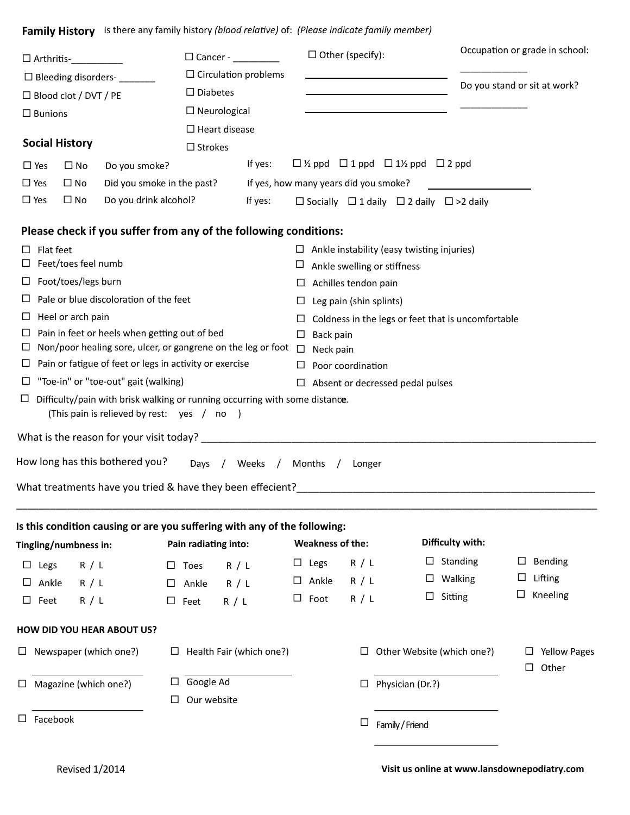Family History Is there any family history (blood relative) of: (Please indicate family member)

| $\Box$ Arthritis- $\Box$                                                 |                               |                                               |                                                                                                                           |                          | $\Box$ Other (specify):                    |                                                                            | Occupation or grade in school:                                |                                   |  |
|--------------------------------------------------------------------------|-------------------------------|-----------------------------------------------|---------------------------------------------------------------------------------------------------------------------------|--------------------------|--------------------------------------------|----------------------------------------------------------------------------|---------------------------------------------------------------|-----------------------------------|--|
| $\Box$ Bleeding disorders-                                               |                               |                                               | $\Box$ Circulation problems                                                                                               |                          |                                            |                                                                            |                                                               |                                   |  |
|                                                                          | □ Blood clot / DVT / PE       |                                               |                                                                                                                           | $\square$ Diabetes       |                                            | the control of the control of the control of the control of the control of |                                                               | Do you stand or sit at work?      |  |
| $\square$ Bunions                                                        |                               |                                               | $\Box$ Neurological                                                                                                       |                          |                                            |                                                                            |                                                               |                                   |  |
|                                                                          |                               |                                               | $\Box$ Heart disease                                                                                                      |                          |                                            |                                                                            |                                                               |                                   |  |
|                                                                          | <b>Social History</b>         |                                               | $\square$ Strokes                                                                                                         |                          |                                            |                                                                            |                                                               |                                   |  |
| $\Box$ Yes                                                               | $\square$ No                  | Do you smoke?                                 |                                                                                                                           | If yes:                  |                                            |                                                                            | $\Box$ ½ ppd $\Box$ 1 ppd $\Box$ 1½ ppd $\Box$ 2 ppd          |                                   |  |
| $\Box$ Yes                                                               | $\Box$ No                     | Did you smoke in the past?                    |                                                                                                                           |                          |                                            | If yes, how many years did you smoke?                                      |                                                               |                                   |  |
| $\Box$ Yes                                                               | $\Box$ No                     | Do you drink alcohol?                         |                                                                                                                           | If yes:                  |                                            |                                                                            | $\Box$ Socially $\Box$ 1 daily $\Box$ 2 daily $\Box$ >2 daily |                                   |  |
|                                                                          |                               |                                               | Please check if you suffer from any of the following conditions:                                                          |                          |                                            |                                                                            |                                                               |                                   |  |
| ப                                                                        | Flat feet                     |                                               |                                                                                                                           |                          |                                            |                                                                            | $\Box$ Ankle instability (easy twisting injuries)             |                                   |  |
|                                                                          | Feet/toes feel numb           |                                               |                                                                                                                           |                          | Ц                                          | Ankle swelling or stiffness                                                |                                                               |                                   |  |
| ப                                                                        | Foot/toes/legs burn           |                                               |                                                                                                                           |                          | ⊔                                          | Achilles tendon pain                                                       |                                                               |                                   |  |
|                                                                          |                               | Pale or blue discoloration of the feet        |                                                                                                                           |                          | ⊔                                          | Leg pain (shin splints)                                                    |                                                               |                                   |  |
| ш                                                                        | Heel or arch pain             |                                               |                                                                                                                           |                          | ш                                          |                                                                            | Coldness in the legs or feet that is uncomfortable            |                                   |  |
| ⊔                                                                        |                               | Pain in feet or heels when getting out of bed |                                                                                                                           |                          | Back pain<br>□                             |                                                                            |                                                               |                                   |  |
| Non/poor healing sore, ulcer, or gangrene on the leg or foot $\Box$<br>ш |                               |                                               | Neck pain                                                                                                                 |                          |                                            |                                                                            |                                                               |                                   |  |
| ш                                                                        |                               |                                               | Pain or fatigue of feet or legs in activity or exercise                                                                   |                          | Poor coordination<br>□                     |                                                                            |                                                               |                                   |  |
| ⊔                                                                        |                               | "Toe-in" or "toe-out" gait (walking)          |                                                                                                                           |                          | Absent or decressed pedal pulses<br>$\Box$ |                                                                            |                                                               |                                   |  |
| ப                                                                        |                               |                                               | Difficulty/pain with brisk walking or running occurring with some distance.<br>(This pain is relieved by rest: yes / no ) |                          |                                            |                                                                            |                                                               |                                   |  |
|                                                                          |                               |                                               |                                                                                                                           |                          |                                            |                                                                            |                                                               |                                   |  |
|                                                                          |                               | How long has this bothered you?               |                                                                                                                           | Days / Weeks / Months /  |                                            | Longer                                                                     |                                                               |                                   |  |
|                                                                          |                               |                                               | What treatments have you tried & have they been effecient?                                                                |                          |                                            |                                                                            |                                                               |                                   |  |
|                                                                          |                               |                                               |                                                                                                                           |                          |                                            |                                                                            |                                                               |                                   |  |
|                                                                          | Tingling/numbness in:         |                                               | Is this condition causing or are you suffering with any of the following:<br>Pain radiating into:                         |                          | <b>Weakness of the:</b>                    |                                                                            | Difficulty with:                                              |                                   |  |
| Legs<br>⊔                                                                | R / L                         |                                               | $\square$ Toes                                                                                                            | R / L                    | $\square$ Legs                             | R / L                                                                      | Standing<br>ப                                                 | Bending<br>ப                      |  |
| Ankle                                                                    | R / L                         |                                               | Ankle<br>$\Box$                                                                                                           | R / L                    | $\Box$ Ankle                               | R / L                                                                      | Walking<br>ப                                                  | Lifting<br>ப                      |  |
| Feet<br>ப                                                                | R / L                         |                                               | $\square$ Feet                                                                                                            | R / L                    | Foot<br>$\Box$                             | R / L                                                                      | Sitting<br>ப                                                  | Kneeling                          |  |
|                                                                          |                               |                                               |                                                                                                                           |                          |                                            |                                                                            |                                                               |                                   |  |
|                                                                          |                               | <b>HOW DID YOU HEAR ABOUT US?</b>             |                                                                                                                           |                          |                                            |                                                                            |                                                               |                                   |  |
|                                                                          | $\Box$ Newspaper (which one?) |                                               | ப                                                                                                                         | Health Fair (which one?) |                                            | ⊔                                                                          | Other Website (which one?)                                    | <b>Yellow Pages</b><br>Other<br>ப |  |
| Magazine (which one?)<br>ப                                               |                               |                                               | Google Ad<br>⊔                                                                                                            |                          |                                            | Physician (Dr.?)<br>ப                                                      |                                                               |                                   |  |
| ப                                                                        |                               |                                               |                                                                                                                           | Our website              |                                            |                                                                            |                                                               |                                   |  |
| $\square$ Facebook                                                       |                               |                                               |                                                                                                                           |                          |                                            | ⊔                                                                          | Family / Friend                                               |                                   |  |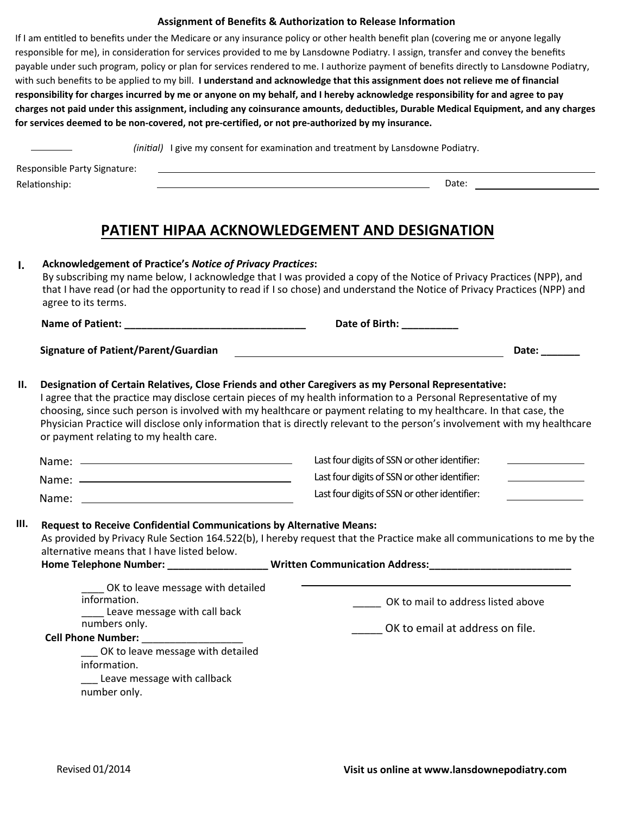#### **Assignment of Benefits & Authorization to Release Information**

If I am entitled to benefits under the Medicare or any insurance policy or other health benefit plan (covering me or anyone legally responsible for me), in consideration for services provided to me by Lansdowne Podiatry. I assign, transfer and convey the benefits payable under such program, policy or plan for services rendered to me. I authorize payment of benefits directly to Lansdowne Podiatry, with such benefits to be applied to my bill. I understand and acknowledge that this assignment does not relieve me of financial **responsibility for charges incurred by me or anyone on my behalf, and I hereby acknowledge responsibility for and agree to pay charges not paid under this assignment, including any coinsurance amounts, deductibles, Durable Medical Equipment, and any charges for services deemed to be non-covered, not pre-certified, or not pre-authorized by my insurance.**

*(initial)* I give my consent for examination and treatment by Lansdowne Podiatry.

RelaTonship: Date: Responsible Party Signature:

### **PATIENT HIPAA ACKNOWLEDGEMENT AND DESIGNATION**

| $\mathbf{I}$ . | <b>Acknowledgement of Practice's Notice of Privacy Practices:</b><br>agree to its terms.                                                                                                                                                                                                                                                                               | By subscribing my name below, I acknowledge that I was provided a copy of the Notice of Privacy Practices (NPP), and<br>that I have read (or had the opportunity to read if I so chose) and understand the Notice of Privacy Practices (NPP) and                                                                                                                      |  |  |  |  |
|----------------|------------------------------------------------------------------------------------------------------------------------------------------------------------------------------------------------------------------------------------------------------------------------------------------------------------------------------------------------------------------------|-----------------------------------------------------------------------------------------------------------------------------------------------------------------------------------------------------------------------------------------------------------------------------------------------------------------------------------------------------------------------|--|--|--|--|
|                |                                                                                                                                                                                                                                                                                                                                                                        | Date of Birth: ___________                                                                                                                                                                                                                                                                                                                                            |  |  |  |  |
|                | <b>Signature of Patient/Parent/Guardian</b>                                                                                                                                                                                                                                                                                                                            | Date: ______                                                                                                                                                                                                                                                                                                                                                          |  |  |  |  |
| П.             | Designation of Certain Relatives, Close Friends and other Caregivers as my Personal Representative:<br>or payment relating to my health care.                                                                                                                                                                                                                          | I agree that the practice may disclose certain pieces of my health information to a Personal Representative of my<br>choosing, since such person is involved with my healthcare or payment relating to my healthcare. In that case, the<br>Physician Practice will disclose only information that is directly relevant to the person's involvement with my healthcare |  |  |  |  |
|                |                                                                                                                                                                                                                                                                                                                                                                        | Last four digits of SSN or other identifier:                                                                                                                                                                                                                                                                                                                          |  |  |  |  |
|                |                                                                                                                                                                                                                                                                                                                                                                        | Last four digits of SSN or other identifier:<br><u> 1980 - Johann Barbara, martxa a</u>                                                                                                                                                                                                                                                                               |  |  |  |  |
|                |                                                                                                                                                                                                                                                                                                                                                                        | Last four digits of SSN or other identifier:                                                                                                                                                                                                                                                                                                                          |  |  |  |  |
| III.           | <b>Request to Receive Confidential Communications by Alternative Means:</b><br>As provided by Privacy Rule Section 164.522(b), I hereby request that the Practice make all communications to me by the<br>alternative means that I have listed below.<br>Home Telephone Number: ________________________Written Communication Address: _______________________________ |                                                                                                                                                                                                                                                                                                                                                                       |  |  |  |  |
|                | OK to leave message with detailed<br>information.<br>Leave message with call back                                                                                                                                                                                                                                                                                      | OK to mail to address listed above                                                                                                                                                                                                                                                                                                                                    |  |  |  |  |
|                | numbers only.                                                                                                                                                                                                                                                                                                                                                          | OK to email at address on file.                                                                                                                                                                                                                                                                                                                                       |  |  |  |  |
|                | OK to leave message with detailed                                                                                                                                                                                                                                                                                                                                      |                                                                                                                                                                                                                                                                                                                                                                       |  |  |  |  |
|                | information.                                                                                                                                                                                                                                                                                                                                                           |                                                                                                                                                                                                                                                                                                                                                                       |  |  |  |  |
|                | Leave message with callback                                                                                                                                                                                                                                                                                                                                            |                                                                                                                                                                                                                                                                                                                                                                       |  |  |  |  |
|                | number only.                                                                                                                                                                                                                                                                                                                                                           |                                                                                                                                                                                                                                                                                                                                                                       |  |  |  |  |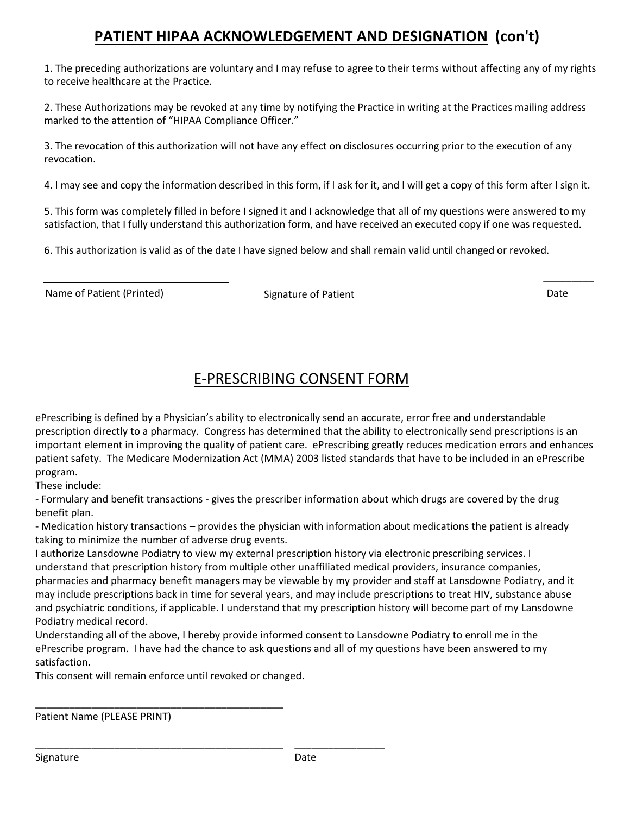# PATIENT HIPAA ACKNOWLEDGEMENT AND DESIGNATION (con't)

1. The preceding authorizations are voluntary and I may refuse to agree to their terms without affecting any of my rights to receive healthcare at the Practice.

2. These Authorizations may be revoked at any time by notifying the Practice in writing at the Practices mailing address marked to the attention of "HIPAA Compliance Officer."

3. The revocation of this authorization will not have any effect on disclosures occurring prior to the execution of any revocation.

4. I may see and copy the information described in this form, if I ask for it, and I will get a copy of this form after I sign it.

5. This form was completely filled in before I signed it and I acknowledge that all of my questions were answered to my satisfaction, that I fully understand this authorization form, and have received an executed copy if one was requested.

6. This authorization is valid as of the date I have signed below and shall remain valid until changed or revoked.

Name of Patient (Printed) and Signature of Patient Communication Controller Date

 $\overline{\phantom{a}}$ 

## E-PRESCRIBING CONSENT FORM

ePrescribing is defined by a Physician's ability to electronically send an accurate, error free and understandable prescription directly to a pharmacy. Congress has determined that the ability to electronically send prescriptions is an important element in improving the quality of patient care. ePrescribing greatly reduces medication errors and enhances patient safety. The Medicare Modernization Act (MMA) 2003 listed standards that have to be included in an ePrescribe program.

These include:

- Formulary and benefit transactions - gives the prescriber information about which drugs are covered by the drug benefit plan.

- Medication history transactions – provides the physician with information about medications the patient is already taking to minimize the number of adverse drug events.

I authorize Lansdowne Podiatry to view my external prescription history via electronic prescribing services. I understand that prescription history from multiple other unaffiliated medical providers, insurance companies, pharmacies and pharmacy benefit managers may be viewable by my provider and staff at Lansdowne Podiatry, and it may include prescriptions back in time for several years, and may include prescriptions to treat HIV, substance abuse and psychiatric conditions, if applicable. I understand that my prescription history will become part of my Lansdowne Podiatry medical record.

Understanding all of the above, I hereby provide informed consent to Lansdowne Podiatry to enroll me in the ePrescribe program. I have had the chance to ask questions and all of my questions have been answered to my satisfaction.

This consent will remain enforce until revoked or changed.

ͺͺͺͺͺͺͺͺͺͺͺͺͺͺͺͺͺͺͺͺͺͺͺͺͺͺͺͺͺͺͺͺͺͺͺͺͺͺͺͺͺͺͺͺ ͺͺͺͺͺͺͺͺͺͺͺͺͺͺͺͺ

ͺͺͺͺͺͺͺͺͺͺͺͺͺͺͺͺͺͺͺͺͺͺͺͺͺͺͺͺͺͺͺͺͺͺͺͺͺͺͺͺͺͺͺͺ

Patient Name (PLEASE PRINT)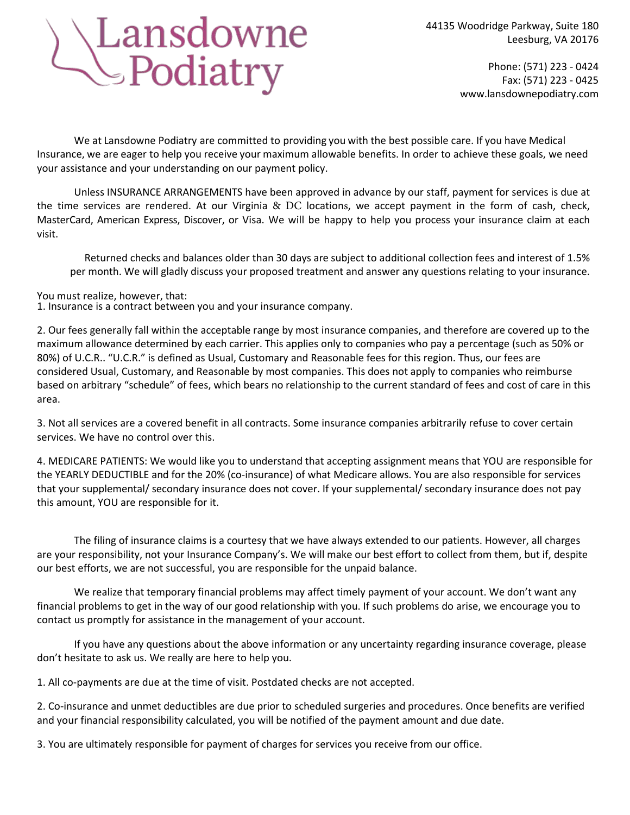# Lansdowne<br>SPodiatry

Phone: (571) 223 - 0424 Fax: (571) 223 - 0425 www.lansdownepodiatry.com

We at Lansdowne Podiatry are committed to providing you with the best possible care. If you have Medical Insurance, we are eager to help you receive your maximum allowable benefits. In order to achieve these goals, we need your assistance and your understanding on our payment policy.

Unless INSURANCE ARRANGEMENTS have been approved in advance by our staff, payment for services is due at the time services are rendered. At our Virginia & DC locations, we accept payment in the form of cash, check, MasterCard, American Express, Discover, or Visa. We will be happy to help you process your insurance claim at each visit.

Returned checks and balances older than 30 days are subject to additional collection fees and interest of 1.5% per month. We will gladly discuss your proposed treatment and answer any questions relating to your insurance.

You must realize, however, that:

1. Insurance is a contract between you and your insurance company.

2. Our fees generally fall within the acceptable range by most insurance companies, and therefore are covered up to the maximum allowance determined by each carrier. This applies only to companies who pay a percentage (such as 50% or 80%) of U.C.R.. "U.C.R." is defined as Usual, Customary and Reasonable fees for this region. Thus, our fees are considered Usual, Customary, and Reasonable by most companies. This does not apply to companies who reimburse based on arbitrary "schedule" of fees, which bears no relationship to the current standard of fees and cost of care in this area.

3. Not all services are a covered benefit in all contracts. Some insurance companies arbitrarily refuse to cover certain services. We have no control over this.

4. MEDICARE PATIENTS: We would like you to understand that accepting assignment means that YOU are responsible for the YEARLY DEDUCTIBLE and for the 20% (co-insurance) of what Medicare allows. You are also responsible for services that your supplemental/ secondary insurance does not cover. If your supplemental/ secondary insurance does not pay this amount, YOU are responsible for it.

The filing of insurance claims is a courtesy that we have always extended to our patients. However, all charges are your responsibility, not your Insurance Company's. We will make our best effort to collect from them, but if, despite our best efforts, we are not successful, you are responsible for the unpaid balance.

We realize that temporary financial problems may affect timely payment of your account. We don't want any financial problems to get in the way of our good relationship with you. If such problems do arise, we encourage you to contact us promptly for assistance in the management of your account.

If you have any questions about the above information or any uncertainty regarding insurance coverage, please don't hesitate to ask us. We really are here to help you.

1. All co-payments are due at the time of visit. Postdated checks are not accepted.

2. Co-insurance and unmet deductibles are due prior to scheduled surgeries and procedures. Once benefits are verified and your financial responsibility calculated, you will be notified of the payment amount and due date.

3. You are ultimately responsible for payment of charges for services you receive from our office.